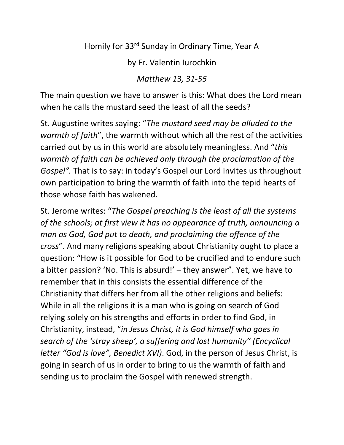Homily for 33rd Sunday in Ordinary Time, Year A

by Fr. Valentin Iurochkin

*Matthew 13, 31-55*

The main question we have to answer is this: What does the Lord mean when he calls the mustard seed the least of all the seeds?

St. Augustine writes saying: "*The mustard seed may be alluded to the warmth of faith*", the warmth without which all the rest of the activities carried out by us in this world are absolutely meaningless. And "*this warmth of faith can be achieved only through the proclamation of the Gospel".* That is to say: in today's Gospel our Lord invites us throughout own participation to bring the warmth of faith into the tepid hearts of those whose faith has wakened.

St. Jerome writes: "*The Gospel preaching is the least of all the systems of the schools; at first view it has no appearance of truth, announcing a man as God, God put to death, and proclaiming the offence of the cross*". And many religions speaking about Christianity ought to place a question: "How is it possible for God to be crucified and to endure such a bitter passion? 'No. This is absurd!' – they answer". Yet, we have to remember that in this consists the essential difference of the Christianity that differs her from all the other religions and beliefs: While in all the religions it is a man who is going on search of God relying solely on his strengths and efforts in order to find God, in Christianity, instead, "*in Jesus Christ, it is God himself who goes in search of the 'stray sheep', a suffering and lost humanity" (Encyclical letter "God is love", Benedict XVI)*. God, in the person of Jesus Christ, is going in search of us in order to bring to us the warmth of faith and sending us to proclaim the Gospel with renewed strength.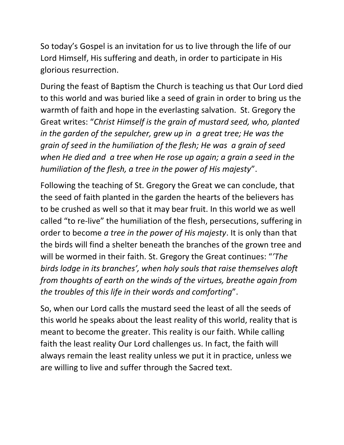So today's Gospel is an invitation for us to live through the life of our Lord Himself, His suffering and death, in order to participate in His glorious resurrection.

During the feast of Baptism the Church is teaching us that Our Lord died to this world and was buried like a seed of grain in order to bring us the warmth of faith and hope in the everlasting salvation. St. Gregory the Great writes: "*Christ Himself is the grain of mustard seed, who, planted in the garden of the sepulcher, grew up in a great tree; He was the grain of seed in the humiliation of the flesh; He was a grain of seed when He died and a tree when He rose up again; a grain a seed in the humiliation of the flesh, a tree in the power of His majesty*".

Following the teaching of St. Gregory the Great we can conclude, that the seed of faith planted in the garden the hearts of the believers has to be crushed as well so that it may bear fruit. In this world we as well called "to re-live" the humiliation of the flesh, persecutions, suffering in order to become *a tree in the power of His majesty*. It is only than that the birds will find a shelter beneath the branches of the grown tree and will be wormed in their faith. St. Gregory the Great continues: "*'The birds lodge in its branches', when holy souls that raise themselves aloft from thoughts of earth on the winds of the virtues, breathe again from the troubles of this life in their words and comforting*".

So, when our Lord calls the mustard seed the least of all the seeds of this world he speaks about the least reality of this world, reality that is meant to become the greater. This reality is our faith. While calling faith the least reality Our Lord challenges us. In fact, the faith will always remain the least reality unless we put it in practice, unless we are willing to live and suffer through the Sacred text.